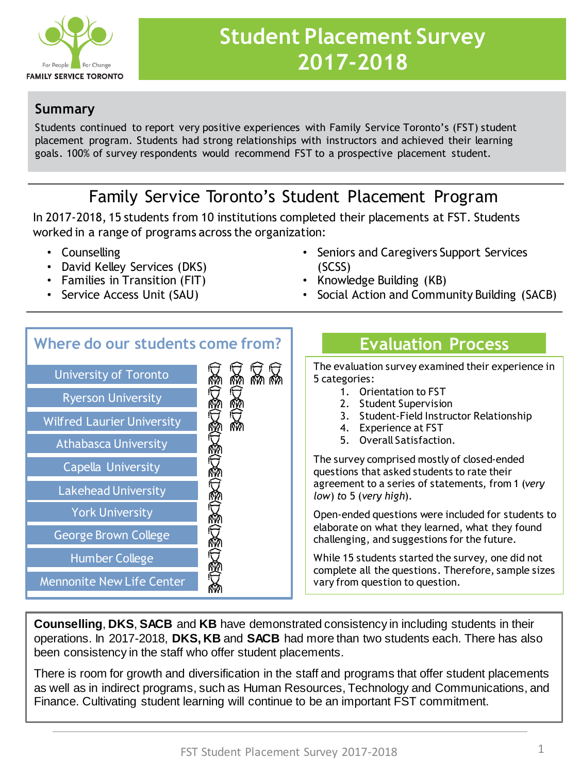

# **Student Placement Survey 2017-2018**

#### **Summary**

Students continued to report very positive experiences with Family Service Toronto's (FST) student placement program. Students had strong relationships with instructors and achieved their learning goals. 100% of survey respondents would recommend FST to a prospective placement student.

# Family Service Toronto's Student Placement Program

In 2017-2018, 15 students from 10 institutions completed their placements at FST. Students worked in a range of programs across the organization:

- Counselling
- David Kelley Services (DKS)
- Families in Transition (FIT)
- Service Access Unit (SAU)
- Seniors and Caregivers Support Services (SCSS)
- Knowledge Building (KB)
- Social Action and Community Building (SACB)

# **Where do our students come from?**



# **Evaluation Process**

The evaluation survey examined their experience in 5 categories:

- 1. Orientation to FST
- 2. Student Supervision
- 3. Student-Field Instructor Relationship
- 4. Experience at FST
- 5. Overall Satisfaction.

The survey comprised mostly of closed-ended questions that asked students to rate their agreement to a series of statements, from 1 (*very low*) *t*o 5 (*very high*)*.* 

Open-ended questions were included for students to elaborate on what they learned, what they found challenging, and suggestions for the future.

While 15 students started the survey, one did not complete all the questions. Therefore, sample sizes vary from question to question.

**Counselling**, **DKS**, **SACB** and **KB** have demonstrated consistency in including students in their operations. In 2017-2018, **DKS, KB** and **SACB** had more than two students each. There has also been consistency in the staff who offer student placements.

There is room for growth and diversification in the staff and programs that offer student placements as well as in indirect programs, such as Human Resources, Technology and Communications, and Finance. Cultivating student learning will continue to be an important FST commitment.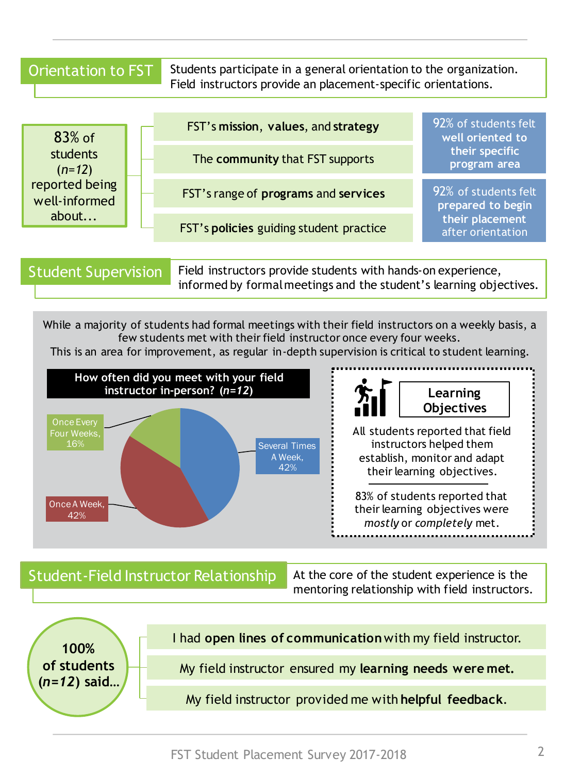Orientation to FST Students participate in a general orientation to the organization. Field instructors provide an placement-specific orientations.

| $83%$ of<br>students<br>$(n=12)$<br>reported being<br>well-informed<br>about | FST's mission, values, and strategy     | 92% of students felt<br>well oriented to<br>their specific<br>program area        |
|------------------------------------------------------------------------------|-----------------------------------------|-----------------------------------------------------------------------------------|
|                                                                              | The community that FST supports         |                                                                                   |
|                                                                              | FST's range of programs and services    | 92% of students felt<br>prepared to begin<br>their placement<br>after orientation |
|                                                                              | FST's policies guiding student practice |                                                                                   |
|                                                                              |                                         |                                                                                   |

```
Student Supervision
```
Field instructors provide students with hands-on experience, informed by formal meetings and the student's learning objectives.

While a majority of students had formal meetings with their field instructors on a weekly basis, a few students met with their field instructor once every four weeks. This is an area for improvement, as regular in-depth supervision is critical to student learning.



#### Student-Field Instructor Relationship At the core of the student experience is the

mentoring relationship with field instructors.

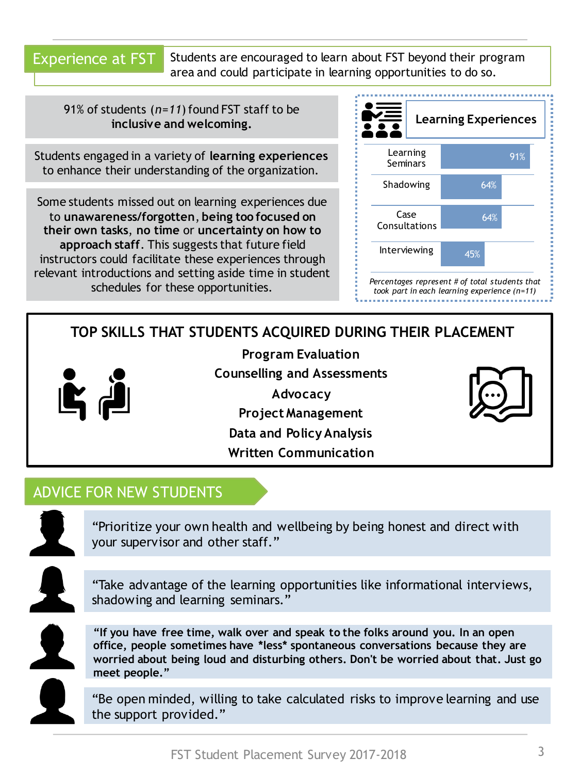Experience at FST

Students are encouraged to learn about FST beyond their program area and could participate in learning opportunities to do so.

91% of students (*n=11*) found FST staff to be **inclusive and welcoming.**

Students engaged in a variety of **learning experiences**  to enhance their understanding of the organization.

Some students missed out on learning experiences due to **unawareness/forgotten**, **being too focused on their own tasks**, **no time** or **uncertainty on how to approach staff**. This suggests that future field instructors could facilitate these experiences through relevant introductions and setting aside time in student schedules for these opportunities.



*took part in each learning experience (n=11)*

# **TOP SKILLS THAT STUDENTS ACQUIRED DURING THEIR PLACEMENT**



**Program Evaluation Counselling and Assessments Advocacy Project Management Data and Policy Analysis Written Communication**



### ADVICE FOR NEW STUDENTS

"Prioritize your own health and wellbeing by being honest and direct with your supervisor and other staff."

"Take advantage of the learning opportunities like informational interviews, shadowing and learning seminars."

**"If you have free time, walk over and speak to the folks around you. In an open office, people sometimes have \*less\* spontaneous conversations because they are worried about being loud and disturbing others. Don't be worried about that. Just go meet people."**

"Be open minded, willing to take calculated risks to improve learning and use the support provided."